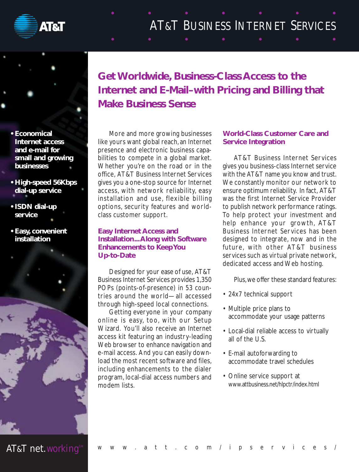

# AT&T BUSINESS INTERNET SERVICES

**• Economical Internet access and e-mail for small and growing businesses**

- **High-speed 56Kbps dial-up service**
- **ISDN dial-up service**
- **Easy, convenient installation**



More and more growing businesses like yours want global reach, an Internet presence and electronic business capabilities to compete in a global market. Whether you're on the road or in the office, AT&T Business Internet Services gives you a one-stop source for Internet access, with network reliability, easy installation and use, flexible billing options, security features and worldclass customer support.

#### **Easy Internet Access and Installation...Along with Software Enhancements to Keep You Up-to-Date**

Designed for your ease of use, AT&T Business Internet Services provides 1,350 POPs (points-of-presence) in 53 countries around the world—all accessed through high-speed local connections.

Getting everyone in your company online is easy, too, with our Setup Wizard. You'll also receive an Internet access kit featuring an industry-leading Web browser to enhance navigation and e-mail access. And you can easily download the most recent software and files, including enhancements to the dialer program, local-dial access numbers and modem lists.

# **World-Class Customer Care and Service Integration**

AT&T Business Internet Services gives you business-class Internet service with the AT&T name you know and trust. We constantly monitor our network to ensure optimum reliability. In fact, AT&T was the first Internet Service Provider to publish network performance ratings. To help protect your investment and help enhance your growth, AT&T Business Internet Services has been designed to integrate, now and in the future, with other AT&T business services such as virtual private network, dedicated access and Web hosting.

Plus,we offer these standard features:

- 24x7 technical support
- Multiple price plans to accommodate your usage patterns
- Local-dial reliable access to virtually all of the U.S.
- E-mail autoforwarding to accommodate travel schedules
- Online service support at www.attbusiness.net/hlpctr/index.html

AT&T net.working<sup>s</sup>